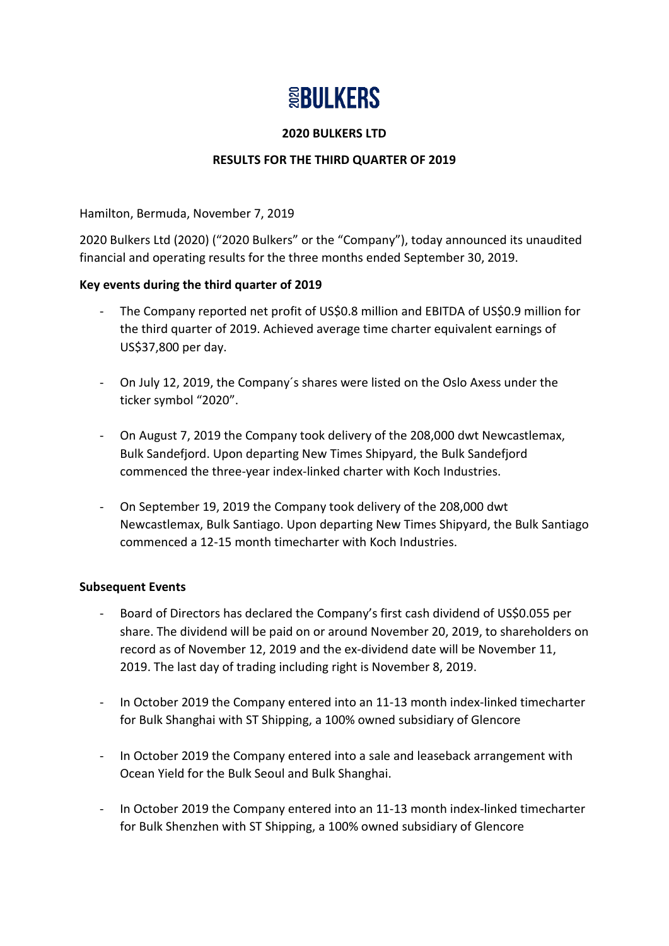# **SEBULKERS**

#### **2020 BULKERS LTD**

# **RESULTS FOR THE THIRD QUARTER OF 2019**

Hamilton, Bermuda, November 7, 2019

2020 Bulkers Ltd (2020) ("2020 Bulkers" or the "Company"), today announced its unaudited financial and operating results for the three months ended September 30, 2019.

#### **Key events during the third quarter of 2019**

- The Company reported net profit of US\$0.8 million and EBITDA of US\$0.9 million for the third quarter of 2019. Achieved average time charter equivalent earnings of US\$37,800 per day.
- On July 12, 2019, the Company´s shares were listed on the Oslo Axess under the ticker symbol "2020".
- On August 7, 2019 the Company took delivery of the 208,000 dwt Newcastlemax, Bulk Sandefjord. Upon departing New Times Shipyard, the Bulk Sandefjord commenced the three-year index-linked charter with Koch Industries.
- On September 19, 2019 the Company took delivery of the 208,000 dwt Newcastlemax, Bulk Santiago. Upon departing New Times Shipyard, the Bulk Santiago commenced a 12-15 month timecharter with Koch Industries.

#### **Subsequent Events**

- Board of Directors has declared the Company's first cash dividend of US\$0.055 per share. The dividend will be paid on or around November 20, 2019, to shareholders on record as of November 12, 2019 and the ex-dividend date will be November 11, 2019. The last day of trading including right is November 8, 2019.
- In October 2019 the Company entered into an 11-13 month index-linked timecharter for Bulk Shanghai with ST Shipping, a 100% owned subsidiary of Glencore
- In October 2019 the Company entered into a sale and leaseback arrangement with Ocean Yield for the Bulk Seoul and Bulk Shanghai.
- In October 2019 the Company entered into an 11-13 month index-linked timecharter for Bulk Shenzhen with ST Shipping, a 100% owned subsidiary of Glencore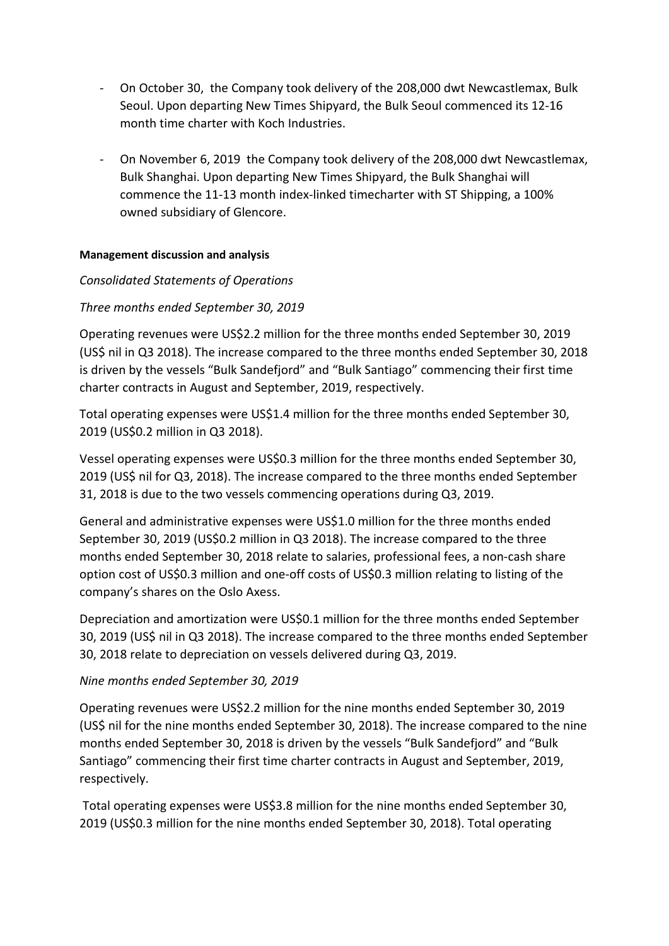- On October 30, the Company took delivery of the 208,000 dwt Newcastlemax, Bulk Seoul. Upon departing New Times Shipyard, the Bulk Seoul commenced its 12-16 month time charter with Koch Industries.
- On November 6, 2019 the Company took delivery of the 208,000 dwt Newcastlemax, Bulk Shanghai. Upon departing New Times Shipyard, the Bulk Shanghai will commence the 11-13 month index-linked timecharter with ST Shipping, a 100% owned subsidiary of Glencore.

#### **Management discussion and analysis**

# *Consolidated Statements of Operations*

# *Three months ended September 30, 2019*

Operating revenues were US\$2.2 million for the three months ended September 30, 2019 (US\$ nil in Q3 2018). The increase compared to the three months ended September 30, 2018 is driven by the vessels "Bulk Sandefjord" and "Bulk Santiago" commencing their first time charter contracts in August and September, 2019, respectively.

Total operating expenses were US\$1.4 million for the three months ended September 30, 2019 (US\$0.2 million in Q3 2018).

Vessel operating expenses were US\$0.3 million for the three months ended September 30, 2019 (US\$ nil for Q3, 2018). The increase compared to the three months ended September 31, 2018 is due to the two vessels commencing operations during Q3, 2019.

General and administrative expenses were US\$1.0 million for the three months ended September 30, 2019 (US\$0.2 million in Q3 2018). The increase compared to the three months ended September 30, 2018 relate to salaries, professional fees, a non-cash share option cost of US\$0.3 million and one-off costs of US\$0.3 million relating to listing of the company's shares on the Oslo Axess.

Depreciation and amortization were US\$0.1 million for the three months ended September 30, 2019 (US\$ nil in Q3 2018). The increase compared to the three months ended September 30, 2018 relate to depreciation on vessels delivered during Q3, 2019.

#### *Nine months ended September 30, 2019*

Operating revenues were US\$2.2 million for the nine months ended September 30, 2019 (US\$ nil for the nine months ended September 30, 2018). The increase compared to the nine months ended September 30, 2018 is driven by the vessels "Bulk Sandefjord" and "Bulk Santiago" commencing their first time charter contracts in August and September, 2019, respectively.

Total operating expenses were US\$3.8 million for the nine months ended September 30, 2019 (US\$0.3 million for the nine months ended September 30, 2018). Total operating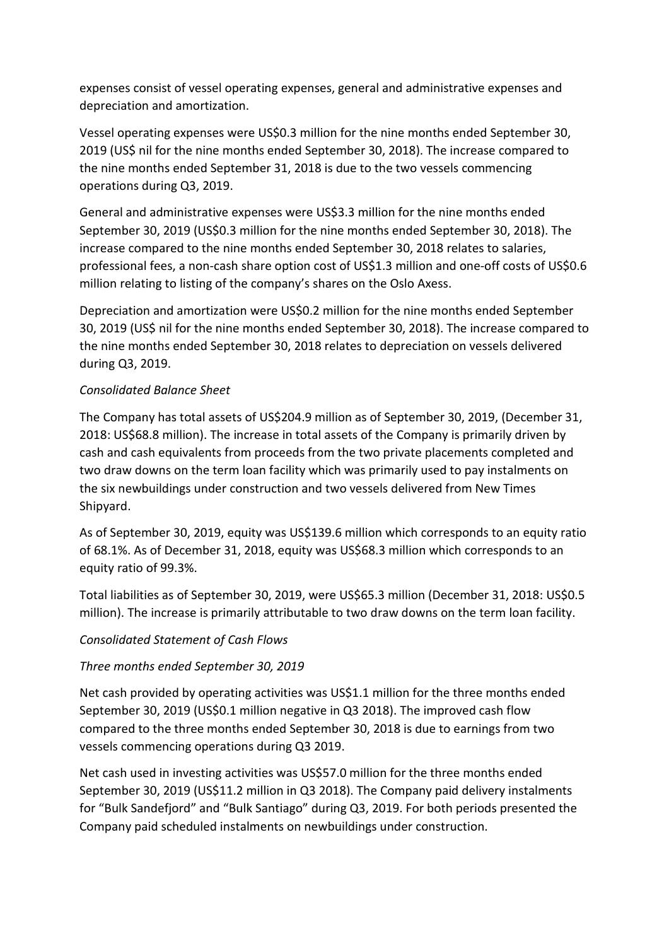expenses consist of vessel operating expenses, general and administrative expenses and depreciation and amortization.

Vessel operating expenses were US\$0.3 million for the nine months ended September 30, 2019 (US\$ nil for the nine months ended September 30, 2018). The increase compared to the nine months ended September 31, 2018 is due to the two vessels commencing operations during Q3, 2019.

General and administrative expenses were US\$3.3 million for the nine months ended September 30, 2019 (US\$0.3 million for the nine months ended September 30, 2018). The increase compared to the nine months ended September 30, 2018 relates to salaries, professional fees, a non-cash share option cost of US\$1.3 million and one-off costs of US\$0.6 million relating to listing of the company's shares on the Oslo Axess.

Depreciation and amortization were US\$0.2 million for the nine months ended September 30, 2019 (US\$ nil for the nine months ended September 30, 2018). The increase compared to the nine months ended September 30, 2018 relates to depreciation on vessels delivered during Q3, 2019.

# *Consolidated Balance Sheet*

The Company has total assets of US\$204.9 million as of September 30, 2019, (December 31, 2018: US\$68.8 million). The increase in total assets of the Company is primarily driven by cash and cash equivalents from proceeds from the two private placements completed and two draw downs on the term loan facility which was primarily used to pay instalments on the six newbuildings under construction and two vessels delivered from New Times Shipyard.

As of September 30, 2019, equity was US\$139.6 million which corresponds to an equity ratio of 68.1%. As of December 31, 2018, equity was US\$68.3 million which corresponds to an equity ratio of 99.3%.

Total liabilities as of September 30, 2019, were US\$65.3 million (December 31, 2018: US\$0.5 million). The increase is primarily attributable to two draw downs on the term loan facility.

# *Consolidated Statement of Cash Flows*

# *Three months ended September 30, 2019*

Net cash provided by operating activities was US\$1.1 million for the three months ended September 30, 2019 (US\$0.1 million negative in Q3 2018). The improved cash flow compared to the three months ended September 30, 2018 is due to earnings from two vessels commencing operations during Q3 2019.

Net cash used in investing activities was US\$57.0 million for the three months ended September 30, 2019 (US\$11.2 million in Q3 2018). The Company paid delivery instalments for "Bulk Sandefjord" and "Bulk Santiago" during Q3, 2019. For both periods presented the Company paid scheduled instalments on newbuildings under construction.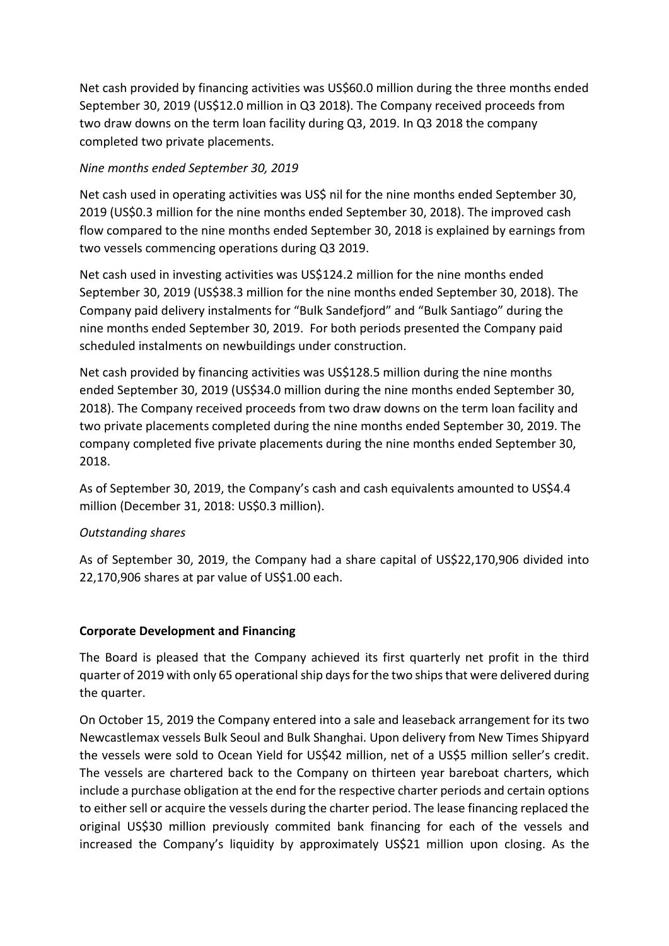Net cash provided by financing activities was US\$60.0 million during the three months ended September 30, 2019 (US\$12.0 million in Q3 2018). The Company received proceeds from two draw downs on the term loan facility during Q3, 2019. In Q3 2018 the company completed two private placements.

# *Nine months ended September 30, 2019*

Net cash used in operating activities was US\$ nil for the nine months ended September 30, 2019 (US\$0.3 million for the nine months ended September 30, 2018). The improved cash flow compared to the nine months ended September 30, 2018 is explained by earnings from two vessels commencing operations during Q3 2019.

Net cash used in investing activities was US\$124.2 million for the nine months ended September 30, 2019 (US\$38.3 million for the nine months ended September 30, 2018). The Company paid delivery instalments for "Bulk Sandefjord" and "Bulk Santiago" during the nine months ended September 30, 2019. For both periods presented the Company paid scheduled instalments on newbuildings under construction.

Net cash provided by financing activities was US\$128.5 million during the nine months ended September 30, 2019 (US\$34.0 million during the nine months ended September 30, 2018). The Company received proceeds from two draw downs on the term loan facility and two private placements completed during the nine months ended September 30, 2019. The company completed five private placements during the nine months ended September 30, 2018.

As of September 30, 2019, the Company's cash and cash equivalents amounted to US\$4.4 million (December 31, 2018: US\$0.3 million).

# *Outstanding shares*

As of September 30, 2019, the Company had a share capital of US\$22,170,906 divided into 22,170,906 shares at par value of US\$1.00 each.

# **Corporate Development and Financing**

The Board is pleased that the Company achieved its first quarterly net profit in the third quarter of 2019 with only 65 operational ship days for the two ships that were delivered during the quarter.

On October 15, 2019 the Company entered into a sale and leaseback arrangement for its two Newcastlemax vessels Bulk Seoul and Bulk Shanghai. Upon delivery from New Times Shipyard the vessels were sold to Ocean Yield for US\$42 million, net of a US\$5 million seller's credit. The vessels are chartered back to the Company on thirteen year bareboat charters, which include a purchase obligation at the end for the respective charter periods and certain options to either sell or acquire the vessels during the charter period. The lease financing replaced the original US\$30 million previously commited bank financing for each of the vessels and increased the Company's liquidity by approximately US\$21 million upon closing. As the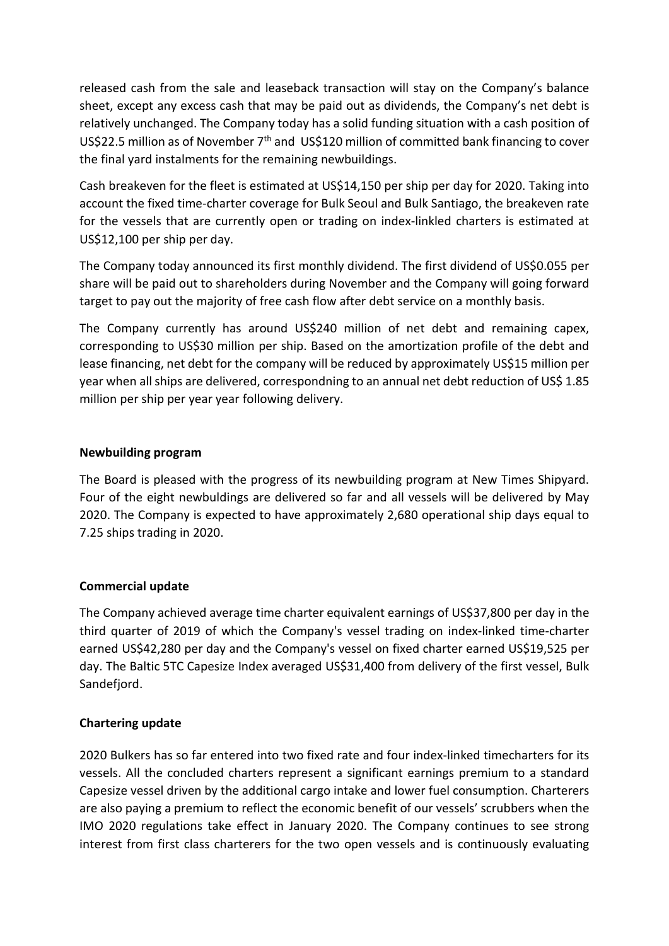released cash from the sale and leaseback transaction will stay on the Company's balance sheet, except any excess cash that may be paid out as dividends, the Company's net debt is relatively unchanged. The Company today has a solid funding situation with a cash position of US\$22.5 million as of November  $7<sup>th</sup>$  and US\$120 million of committed bank financing to cover the final yard instalments for the remaining newbuildings.

Cash breakeven for the fleet is estimated at US\$14,150 per ship per day for 2020. Taking into account the fixed time-charter coverage for Bulk Seoul and Bulk Santiago, the breakeven rate for the vessels that are currently open or trading on index-linkled charters is estimated at US\$12,100 per ship per day.

The Company today announced its first monthly dividend. The first dividend of US\$0.055 per share will be paid out to shareholders during November and the Company will going forward target to pay out the majority of free cash flow after debt service on a monthly basis.

The Company currently has around US\$240 million of net debt and remaining capex, corresponding to US\$30 million per ship. Based on the amortization profile of the debt and lease financing, net debt for the company will be reduced by approximately US\$15 million per year when all ships are delivered, correspondning to an annual net debt reduction of US\$ 1.85 million per ship per year year following delivery.

# **Newbuilding program**

The Board is pleased with the progress of its newbuilding program at New Times Shipyard. Four of the eight newbuldings are delivered so far and all vessels will be delivered by May 2020. The Company is expected to have approximately 2,680 operational ship days equal to 7.25 ships trading in 2020.

# **Commercial update**

The Company achieved average time charter equivalent earnings of US\$37,800 per day in the third quarter of 2019 of which the Company's vessel trading on index-linked time-charter earned US\$42,280 per day and the Company's vessel on fixed charter earned US\$19,525 per day. The Baltic 5TC Capesize Index averaged US\$31,400 from delivery of the first vessel, Bulk Sandefiord.

# **Chartering update**

2020 Bulkers has so far entered into two fixed rate and four index-linked timecharters for its vessels. All the concluded charters represent a significant earnings premium to a standard Capesize vessel driven by the additional cargo intake and lower fuel consumption. Charterers are also paying a premium to reflect the economic benefit of our vessels' scrubbers when the IMO 2020 regulations take effect in January 2020. The Company continues to see strong interest from first class charterers for the two open vessels and is continuously evaluating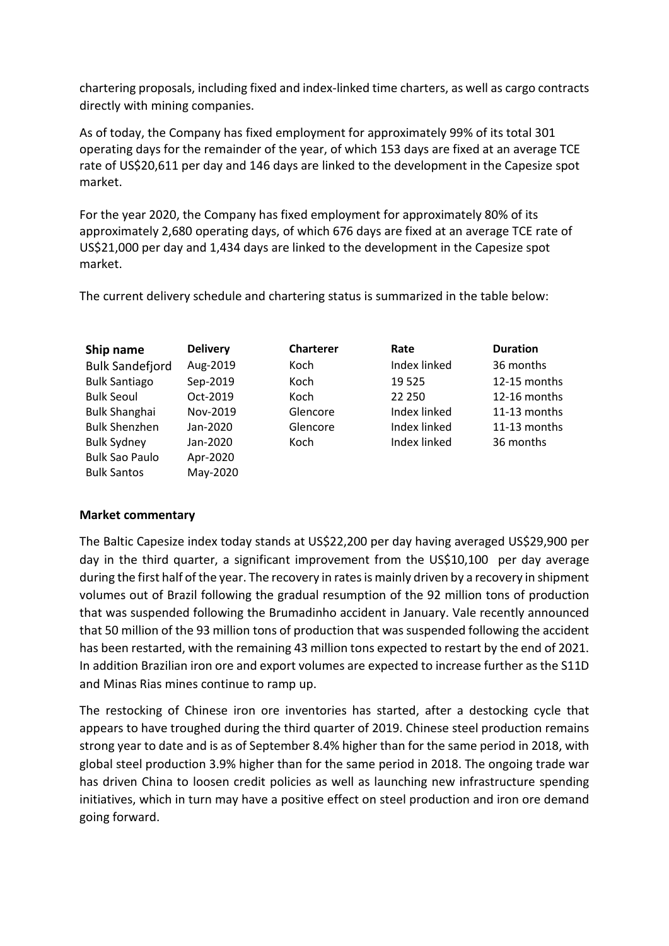chartering proposals, including fixed and index-linked time charters, as well as cargo contracts directly with mining companies.

As of today, the Company has fixed employment for approximately 99% of its total 301 operating days for the remainder of the year, of which 153 days are fixed at an average TCE rate of US\$20,611 per day and 146 days are linked to the development in the Capesize spot market.

For the year 2020, the Company has fixed employment for approximately 80% of its approximately 2,680 operating days, of which 676 days are fixed at an average TCE rate of US\$21,000 per day and 1,434 days are linked to the development in the Capesize spot market.

The current delivery schedule and chartering status is summarized in the table below:

| Ship name              | <b>Delivery</b> | <b>Charterer</b> | Rate         | <b>Duration</b> |
|------------------------|-----------------|------------------|--------------|-----------------|
| <b>Bulk Sandefjord</b> | Aug-2019        | Koch             | Index linked | 36 months       |
| <b>Bulk Santiago</b>   | Sep-2019        | Koch             | 19 5 25      | 12-15 months    |
| <b>Bulk Seoul</b>      | Oct-2019        | Koch             | 22 250       | 12-16 months    |
| <b>Bulk Shanghai</b>   | Nov-2019        | Glencore         | Index linked | 11-13 months    |
| <b>Bulk Shenzhen</b>   | Jan-2020        | Glencore         | Index linked | 11-13 months    |
| <b>Bulk Sydney</b>     | Jan-2020        | Koch             | Index linked | 36 months       |
| <b>Bulk Sao Paulo</b>  | Apr-2020        |                  |              |                 |
| <b>Bulk Santos</b>     | May-2020        |                  |              |                 |

# **Market commentary**

The Baltic Capesize index today stands at US\$22,200 per day having averaged US\$29,900 per day in the third quarter, a significant improvement from the US\$10,100 per day average during the first half of the year. The recovery in rates is mainly driven by a recovery in shipment volumes out of Brazil following the gradual resumption of the 92 million tons of production that was suspended following the Brumadinho accident in January. Vale recently announced that 50 million of the 93 million tons of production that was suspended following the accident has been restarted, with the remaining 43 million tons expected to restart by the end of 2021. In addition Brazilian iron ore and export volumes are expected to increase further as the S11D and Minas Rias mines continue to ramp up.

The restocking of Chinese iron ore inventories has started, after a destocking cycle that appears to have troughed during the third quarter of 2019. Chinese steel production remains strong year to date and is as of September 8.4% higher than for the same period in 2018, with global steel production 3.9% higher than for the same period in 2018. The ongoing trade war has driven China to loosen credit policies as well as launching new infrastructure spending initiatives, which in turn may have a positive effect on steel production and iron ore demand going forward.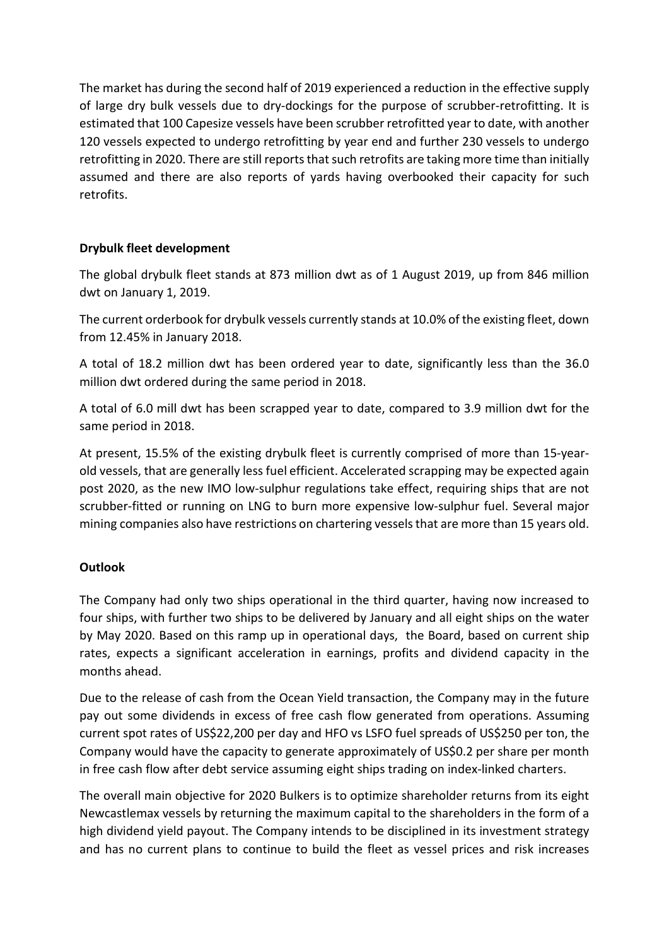The market has during the second half of 2019 experienced a reduction in the effective supply of large dry bulk vessels due to dry-dockings for the purpose of scrubber-retrofitting. It is estimated that 100 Capesize vessels have been scrubber retrofitted year to date, with another 120 vessels expected to undergo retrofitting by year end and further 230 vessels to undergo retrofitting in 2020. There are still reports that such retrofits are taking more time than initially assumed and there are also reports of yards having overbooked their capacity for such retrofits.

# **Drybulk fleet development**

The global drybulk fleet stands at 873 million dwt as of 1 August 2019, up from 846 million dwt on January 1, 2019.

The current orderbook for drybulk vessels currently stands at 10.0% of the existing fleet, down from 12.45% in January 2018.

A total of 18.2 million dwt has been ordered year to date, significantly less than the 36.0 million dwt ordered during the same period in 2018.

A total of 6.0 mill dwt has been scrapped year to date, compared to 3.9 million dwt for the same period in 2018.

At present, 15.5% of the existing drybulk fleet is currently comprised of more than 15-yearold vessels, that are generally less fuel efficient. Accelerated scrapping may be expected again post 2020, as the new IMO low-sulphur regulations take effect, requiring ships that are not scrubber-fitted or running on LNG to burn more expensive low-sulphur fuel. Several major mining companies also have restrictions on chartering vessels that are more than 15 years old.

# **Outlook**

The Company had only two ships operational in the third quarter, having now increased to four ships, with further two ships to be delivered by January and all eight ships on the water by May 2020. Based on this ramp up in operational days, the Board, based on current ship rates, expects a significant acceleration in earnings, profits and dividend capacity in the months ahead.

Due to the release of cash from the Ocean Yield transaction, the Company may in the future pay out some dividends in excess of free cash flow generated from operations. Assuming current spot rates of US\$22,200 per day and HFO vs LSFO fuel spreads of US\$250 per ton, the Company would have the capacity to generate approximately of US\$0.2 per share per month in free cash flow after debt service assuming eight ships trading on index-linked charters.

The overall main objective for 2020 Bulkers is to optimize shareholder returns from its eight Newcastlemax vessels by returning the maximum capital to the shareholders in the form of a high dividend yield payout. The Company intends to be disciplined in its investment strategy and has no current plans to continue to build the fleet as vessel prices and risk increases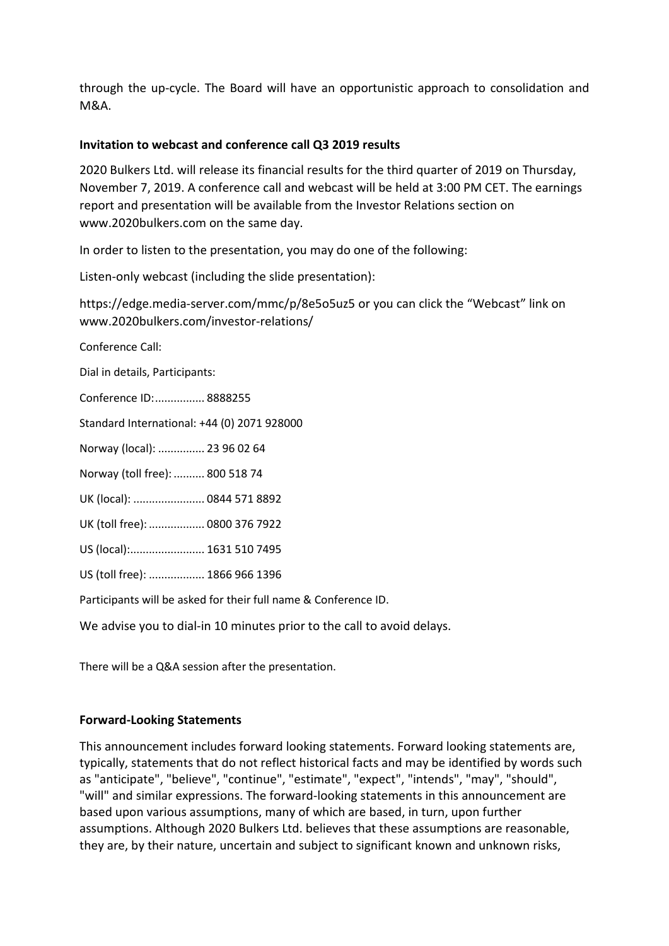through the up-cycle. The Board will have an opportunistic approach to consolidation and M&A.

#### **Invitation to webcast and conference call Q3 2019 results**

2020 Bulkers Ltd. will release its financial results for the third quarter of 2019 on Thursday, November 7, 2019. A conference call and webcast will be held at 3:00 PM CET. The earnings report and presentation will be available from the Investor Relations section on www.2020bulkers.com on the same day.

In order to listen to the presentation, you may do one of the following:

Listen-only webcast (including the slide presentation):

<https://edge.media-server.com/mmc/p/8e5o5uz5> or you can click the "Webcast" link on [www.2020bulkers.com/investor-relations/](http://www.2020bulkers.com/investor-relations/)

Conference Call:

Dial in details, Participants:

Conference ID:................ 8888255

Standard International: +44 (0) 2071 928000

Norway (local): ............... 23 96 02 64

Norway (toll free): .......... 800 518 74

UK (local): ....................... 0844 571 8892

UK (toll free): .................. 0800 376 7922

US (local):........................ 1631 510 7495

US (toll free): .................. 1866 966 1396

Participants will be asked for their full name & Conference ID.

We advise you to dial-in 10 minutes prior to the call to avoid delays.

There will be a Q&A session after the presentation.

#### **Forward-Looking Statements**

This announcement includes forward looking statements. Forward looking statements are, typically, statements that do not reflect historical facts and may be identified by words such as "anticipate", "believe", "continue", "estimate", "expect", "intends", "may", "should", "will" and similar expressions. The forward-looking statements in this announcement are based upon various assumptions, many of which are based, in turn, upon further assumptions. Although 2020 Bulkers Ltd. believes that these assumptions are reasonable, they are, by their nature, uncertain and subject to significant known and unknown risks,